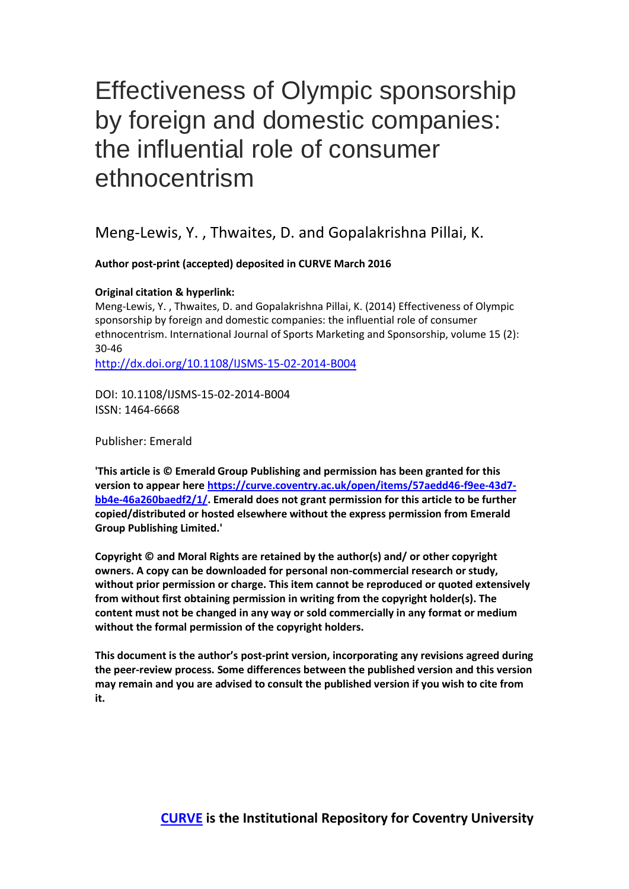# Effectiveness of Olympic sponsorship by foreign and domestic companies: the influential role of consumer ethnocentrism

Meng-Lewis, Y. , Thwaites, D. and Gopalakrishna Pillai, K.

**Author post-print (accepted) deposited in CURVE March 2016** 

#### **Original citation & hyperlink:**

Meng-Lewis, Y. , Thwaites, D. and Gopalakrishna Pillai, K. (2014) Effectiveness of Olympic sponsorship by foreign and domestic companies: the influential role of consumer ethnocentrism. International Journal of Sports Marketing and Sponsorship, volume 15 (2): 30-46

<http://dx.doi.org/10.1108/IJSMS-15-02-2014-B004>

DOI: 10.1108/IJSMS-15-02-2014-B004 ISSN: 1464-6668

Publisher: Emerald

**'This article is © Emerald Group Publishing and permission has been granted for this version to appear here https://curve.coventry.ac.uk/open/items/57aedd46-f9ee-43d7 bb4e-46a260baedf2/1/. Emerald does not grant permission for this article to be further copied/distributed or hosted elsewhere without the express permission from Emerald Group Publishing Limited.'** 

**Copyright © and Moral Rights are retained by the author(s) and/ or other copyright owners. A copy can be downloaded for personal non-commercial research or study, without prior permission or charge. This item cannot be reproduced or quoted extensively from without first obtaining permission in writing from the copyright holder(s). The content must not be changed in any way or sold commercially in any format or medium without the formal permission of the copyright holders.** 

**This document is the author's post-print version, incorporating any revisions agreed during the peer-review process. Some differences between the published version and this version may remain and you are advised to consult the published version if you wish to cite from it.**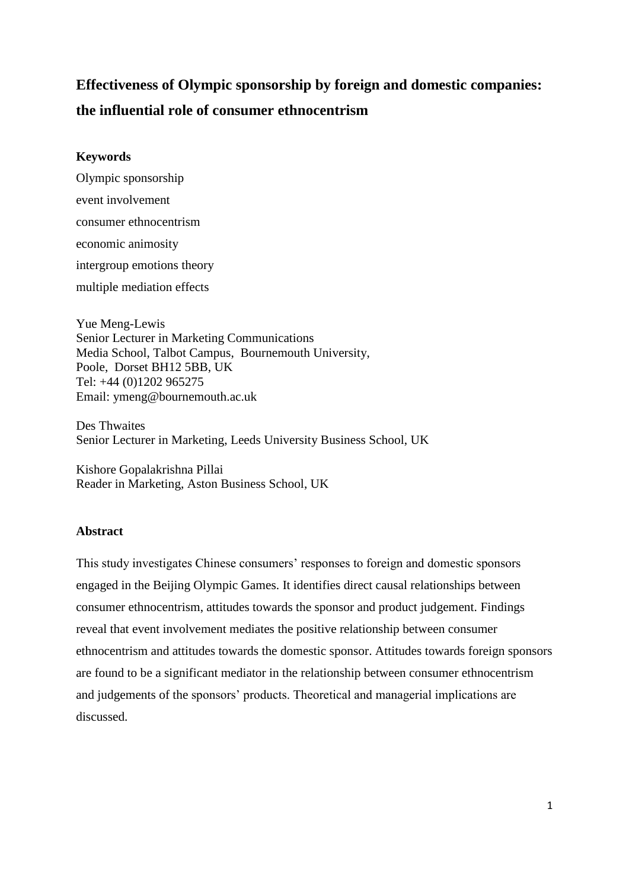## **Effectiveness of Olympic sponsorship by foreign and domestic companies: the influential role of consumer ethnocentrism**

## **Keywords**

Olympic sponsorship event involvement consumer ethnocentrism economic animosity intergroup emotions theory multiple mediation effects

Yue Meng-Lewis Senior Lecturer in Marketing Communications Media School, Talbot Campus, Bournemouth University, Poole, Dorset BH12 5BB, UK Tel: +44 (0)1202 965275 Email: [ymeng@bournemouth.ac.uk](mailto:ymeng@bournemouth.ac.uk)

Des Thwaites Senior Lecturer in Marketing, Leeds University Business School, UK

Kishore Gopalakrishna Pillai Reader in Marketing, Aston Business School, UK

## **Abstract**

This study investigates Chinese consumers' responses to foreign and domestic sponsors engaged in the Beijing Olympic Games. It identifies direct causal relationships between consumer ethnocentrism, attitudes towards the sponsor and product judgement. Findings reveal that event involvement mediates the positive relationship between consumer ethnocentrism and attitudes towards the domestic sponsor. Attitudes towards foreign sponsors are found to be a significant mediator in the relationship between consumer ethnocentrism and judgements of the sponsors' products. Theoretical and managerial implications are discussed.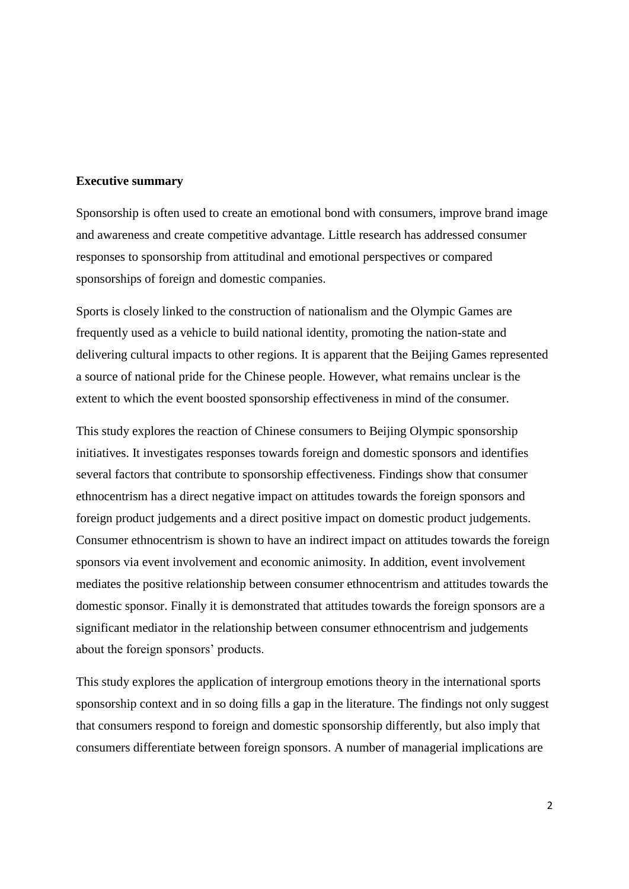#### **Executive summary**

Sponsorship is often used to create an emotional bond with consumers, improve brand image and awareness and create competitive advantage. Little research has addressed consumer responses to sponsorship from attitudinal and emotional perspectives or compared sponsorships of foreign and domestic companies.

Sports is closely linked to the construction of nationalism and the Olympic Games are frequently used as a vehicle to build national identity, promoting the nation-state and delivering cultural impacts to other regions. It is apparent that the Beijing Games represented a source of national pride for the Chinese people. However, what remains unclear is the extent to which the event boosted sponsorship effectiveness in mind of the consumer.

This study explores the reaction of Chinese consumers to Beijing Olympic sponsorship initiatives. It investigates responses towards foreign and domestic sponsors and identifies several factors that contribute to sponsorship effectiveness. Findings show that consumer ethnocentrism has a direct negative impact on attitudes towards the foreign sponsors and foreign product judgements and a direct positive impact on domestic product judgements. Consumer ethnocentrism is shown to have an indirect impact on attitudes towards the foreign sponsors via event involvement and economic animosity. In addition, event involvement mediates the positive relationship between consumer ethnocentrism and attitudes towards the domestic sponsor. Finally it is demonstrated that attitudes towards the foreign sponsors are a significant mediator in the relationship between consumer ethnocentrism and judgements about the foreign sponsors' products.

This study explores the application of intergroup emotions theory in the international sports sponsorship context and in so doing fills a gap in the literature. The findings not only suggest that consumers respond to foreign and domestic sponsorship differently, but also imply that consumers differentiate between foreign sponsors. A number of managerial implications are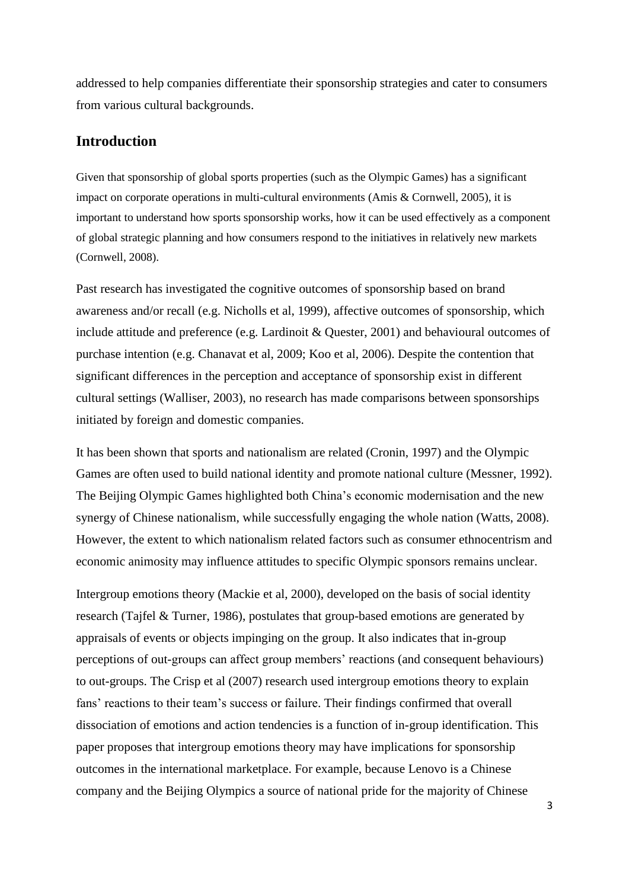addressed to help companies differentiate their sponsorship strategies and cater to consumers from various cultural backgrounds.

## **Introduction**

Given that sponsorship of global sports properties (such as the Olympic Games) has a significant impact on corporate operations in multi-cultural environments (Amis & Cornwell, 2005), it is important to understand how sports sponsorship works, how it can be used effectively as a component of global strategic planning and how consumers respond to the initiatives in relatively new markets (Cornwell, 2008).

Past research has investigated the cognitive outcomes of sponsorship based on brand awareness and/or recall (e.g. Nicholls et al, 1999), affective outcomes of sponsorship, which include attitude and preference (e.g. Lardinoit & Quester, 2001) and behavioural outcomes of purchase intention (e.g. Chanavat et al, 2009; Koo et al, 2006). Despite the contention that significant differences in the perception and acceptance of sponsorship exist in different cultural settings (Walliser, 2003), no research has made comparisons between sponsorships initiated by foreign and domestic companies.

It has been shown that sports and nationalism are related (Cronin, 1997) and the Olympic Games are often used to build national identity and promote national culture (Messner, 1992). The Beijing Olympic Games highlighted both China's economic modernisation and the new synergy of Chinese nationalism, while successfully engaging the whole nation (Watts, 2008). However, the extent to which nationalism related factors such as consumer ethnocentrism and economic animosity may influence attitudes to specific Olympic sponsors remains unclear.

Intergroup emotions theory (Mackie et al, 2000), developed on the basis of social identity research (Tajfel & Turner, 1986), postulates that group-based emotions are generated by appraisals of events or objects impinging on the group. It also indicates that in-group perceptions of out-groups can affect group members' reactions (and consequent behaviours) to out-groups. The Crisp et al (2007) research used intergroup emotions theory to explain fans' reactions to their team's success or failure. Their findings confirmed that overall dissociation of emotions and action tendencies is a function of in-group identification. This paper proposes that intergroup emotions theory may have implications for sponsorship outcomes in the international marketplace. For example, because Lenovo is a Chinese company and the Beijing Olympics a source of national pride for the majority of Chinese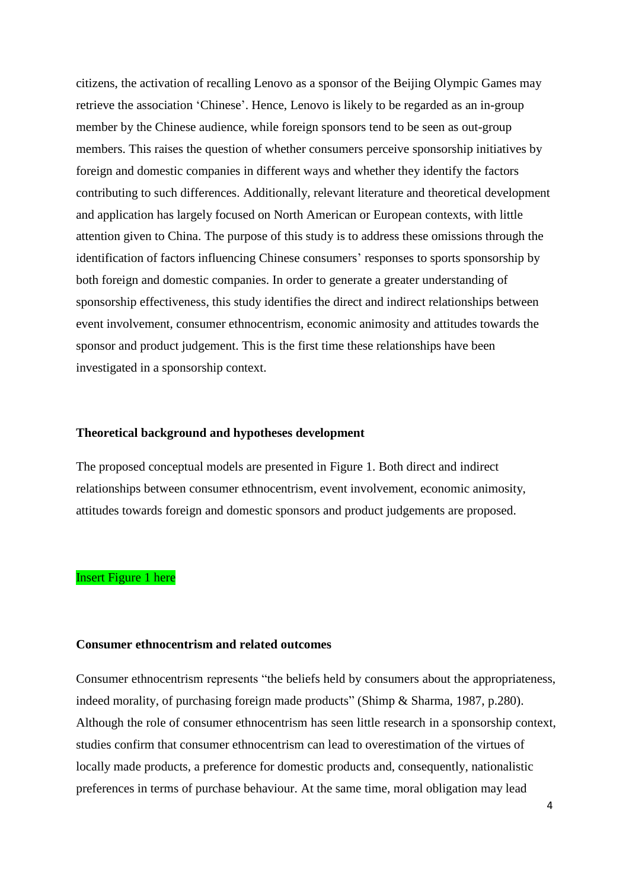citizens, the activation of recalling Lenovo as a sponsor of the Beijing Olympic Games may retrieve the association 'Chinese'. Hence, Lenovo is likely to be regarded as an in-group member by the Chinese audience, while foreign sponsors tend to be seen as out-group members. This raises the question of whether consumers perceive sponsorship initiatives by foreign and domestic companies in different ways and whether they identify the factors contributing to such differences. Additionally, relevant literature and theoretical development and application has largely focused on North American or European contexts, with little attention given to China. The purpose of this study is to address these omissions through the identification of factors influencing Chinese consumers' responses to sports sponsorship by both foreign and domestic companies. In order to generate a greater understanding of sponsorship effectiveness, this study identifies the direct and indirect relationships between event involvement, consumer ethnocentrism, economic animosity and attitudes towards the sponsor and product judgement. This is the first time these relationships have been investigated in a sponsorship context.

#### **Theoretical background and hypotheses development**

The proposed conceptual models are presented in Figure 1. Both direct and indirect relationships between consumer ethnocentrism, event involvement, economic animosity, attitudes towards foreign and domestic sponsors and product judgements are proposed.

#### Insert Figure 1 here

#### **Consumer ethnocentrism and related outcomes**

Consumer ethnocentrism represents "the beliefs held by consumers about the appropriateness, indeed morality, of purchasing foreign made products" (Shimp & Sharma, 1987, p.280). Although the role of consumer ethnocentrism has seen little research in a sponsorship context, studies confirm that consumer ethnocentrism can lead to overestimation of the virtues of locally made products, a preference for domestic products and, consequently, nationalistic preferences in terms of purchase behaviour. At the same time, moral obligation may lead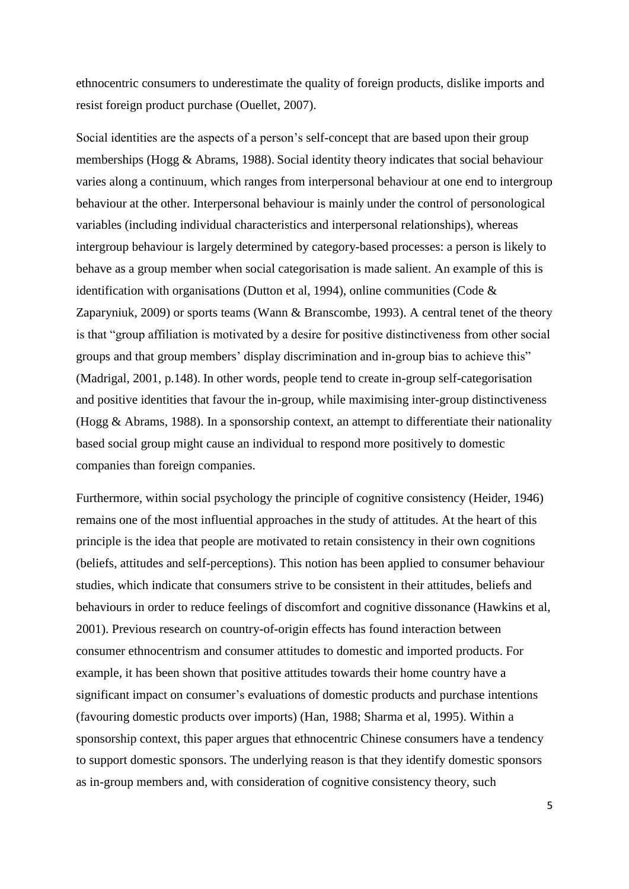ethnocentric consumers to underestimate the quality of foreign products, dislike imports and resist foreign product purchase (Ouellet, 2007).

Social identities are the aspects of a person's self-concept that are based upon their group memberships (Hogg & Abrams, 1988). Social identity theory indicates that social behaviour varies along a continuum, which ranges from interpersonal behaviour at one end to intergroup behaviour at the other. Interpersonal behaviour is mainly under the control of personological variables (including individual characteristics and interpersonal relationships), whereas intergroup behaviour is largely determined by category-based processes: a person is likely to behave as a group member when social categorisation is made salient. An example of this is identification with organisations (Dutton et al, 1994), online communities (Code & Zaparyniuk, 2009) or sports teams (Wann & Branscombe, 1993). A central tenet of the theory is that "group affiliation is motivated by a desire for positive distinctiveness from other social groups and that group members' display discrimination and in-group bias to achieve this" (Madrigal, 2001, p.148). In other words, people tend to create in-group self-categorisation and positive identities that favour the in-group, while maximising inter-group distinctiveness (Hogg & Abrams, 1988). In a sponsorship context, an attempt to differentiate their nationality based social group might cause an individual to respond more positively to domestic companies than foreign companies.

Furthermore, within social psychology the principle of cognitive consistency (Heider, 1946) remains one of the most influential approaches in the study of attitudes. At the heart of this principle is the idea that people are motivated to retain consistency in their own cognitions (beliefs, attitudes and self-perceptions). This notion has been applied to consumer behaviour studies, which indicate that consumers strive to be consistent in their attitudes, beliefs and behaviours in order to reduce feelings of discomfort and cognitive dissonance (Hawkins et al, 2001). Previous research on country-of-origin effects has found interaction between consumer ethnocentrism and consumer attitudes to domestic and imported products. For example, it has been shown that positive attitudes towards their home country have a significant impact on consumer's evaluations of domestic products and purchase intentions (favouring domestic products over imports) (Han, 1988; Sharma et al, 1995). Within a sponsorship context, this paper argues that ethnocentric Chinese consumers have a tendency to support domestic sponsors. The underlying reason is that they identify domestic sponsors as in-group members and, with consideration of cognitive consistency theory, such

5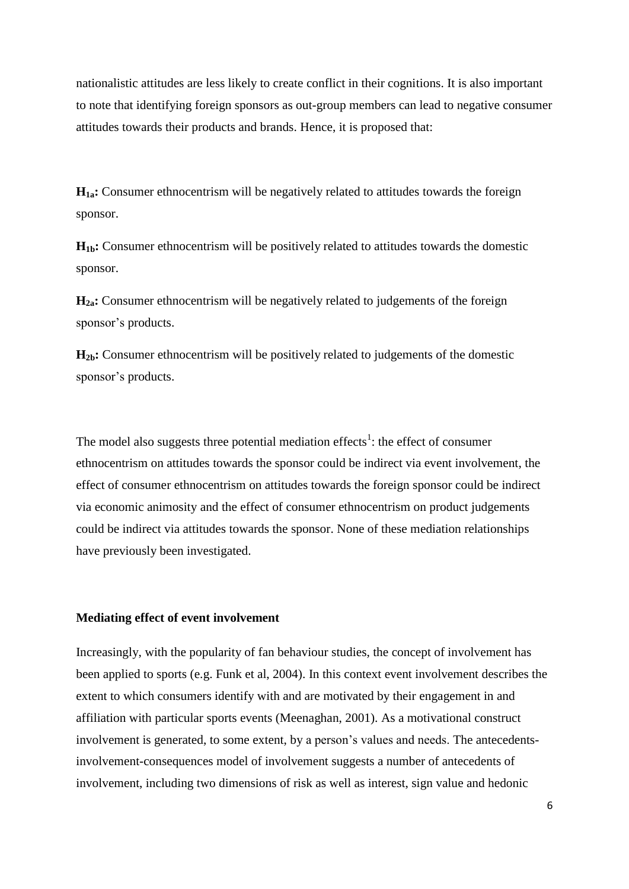nationalistic attitudes are less likely to create conflict in their cognitions. It is also important to note that identifying foreign sponsors as out-group members can lead to negative consumer attitudes towards their products and brands. Hence, it is proposed that:

**H1a:** Consumer ethnocentrism will be negatively related to attitudes towards the foreign sponsor.

**H1b:** Consumer ethnocentrism will be positively related to attitudes towards the domestic sponsor.

**H2a:** Consumer ethnocentrism will be negatively related to judgements of the foreign sponsor's products.

**H2b:** Consumer ethnocentrism will be positively related to judgements of the domestic sponsor's products.

The model also suggests three potential mediation effects<sup>1</sup>: the effect of consumer ethnocentrism on attitudes towards the sponsor could be indirect via event involvement, the effect of consumer ethnocentrism on attitudes towards the foreign sponsor could be indirect via economic animosity and the effect of consumer ethnocentrism on product judgements could be indirect via attitudes towards the sponsor. None of these mediation relationships have previously been investigated.

#### **Mediating effect of event involvement**

Increasingly, with the popularity of fan behaviour studies, the concept of involvement has been applied to sports (e.g. Funk et al, 2004). In this context event involvement describes the extent to which consumers identify with and are motivated by their engagement in and affiliation with particular sports events (Meenaghan, 2001). As a motivational construct involvement is generated, to some extent, by a person's values and needs. The antecedentsinvolvement-consequences model of involvement suggests a number of antecedents of involvement, including two dimensions of risk as well as interest, sign value and hedonic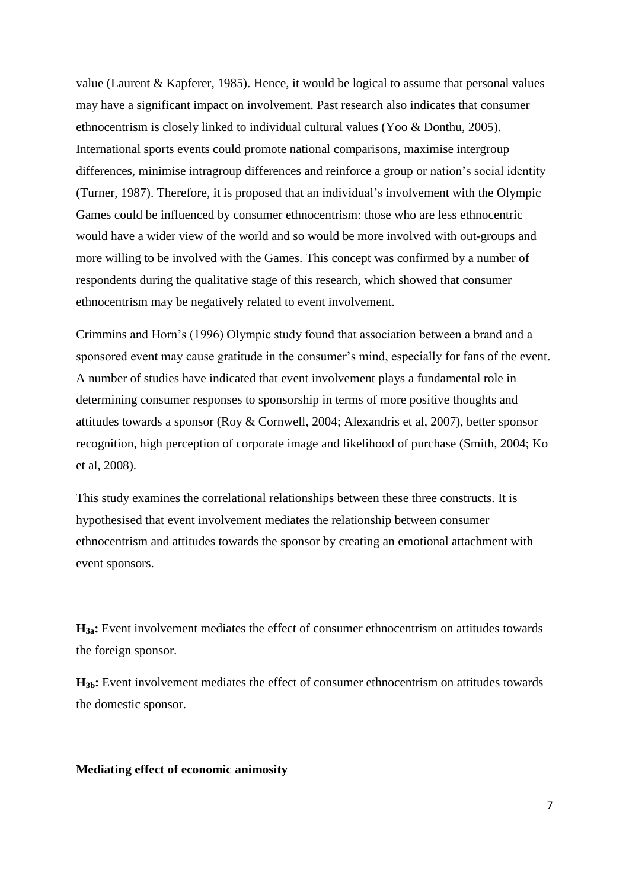value (Laurent & Kapferer, 1985). Hence, it would be logical to assume that personal values may have a significant impact on involvement. Past research also indicates that consumer ethnocentrism is closely linked to individual cultural values (Yoo & Donthu, 2005). International sports events could promote national comparisons, maximise intergroup differences, minimise intragroup differences and reinforce a group or nation's social identity (Turner, 1987). Therefore, it is proposed that an individual's involvement with the Olympic Games could be influenced by consumer ethnocentrism: those who are less ethnocentric would have a wider view of the world and so would be more involved with out-groups and more willing to be involved with the Games. This concept was confirmed by a number of respondents during the qualitative stage of this research, which showed that consumer ethnocentrism may be negatively related to event involvement.

Crimmins and Horn's (1996) Olympic study found that association between a brand and a sponsored event may cause gratitude in the consumer's mind, especially for fans of the event. A number of studies have indicated that event involvement plays a fundamental role in determining consumer responses to sponsorship in terms of more positive thoughts and attitudes towards a sponsor (Roy & Cornwell, 2004; Alexandris et al, 2007), better sponsor recognition, high perception of corporate image and likelihood of purchase (Smith, 2004; Ko et al, 2008).

This study examines the correlational relationships between these three constructs. It is hypothesised that event involvement mediates the relationship between consumer ethnocentrism and attitudes towards the sponsor by creating an emotional attachment with event sponsors.

**H3a:** Event involvement mediates the effect of consumer ethnocentrism on attitudes towards the foreign sponsor.

**H3b:** Event involvement mediates the effect of consumer ethnocentrism on attitudes towards the domestic sponsor.

#### **Mediating effect of economic animosity**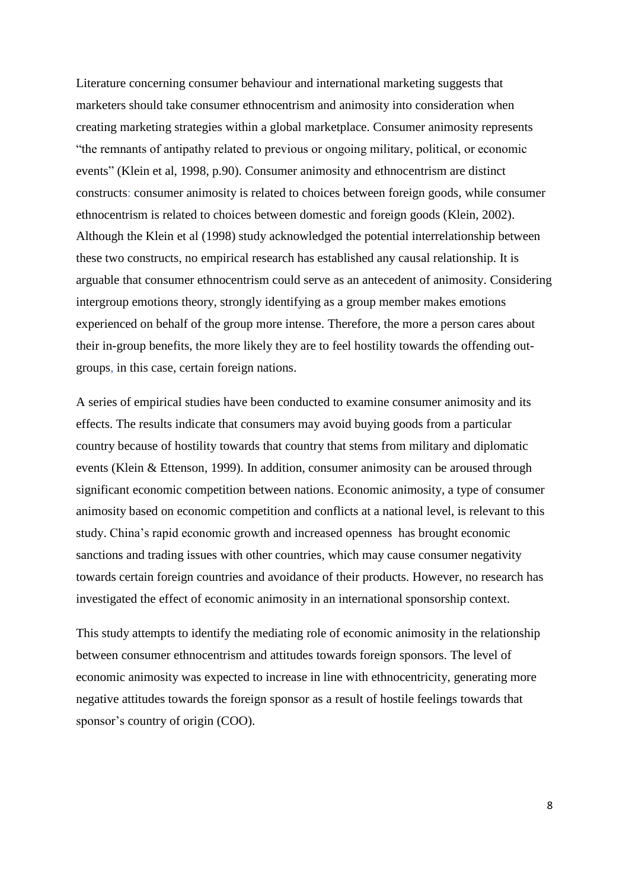Literature concerning consumer behaviour and international marketing suggests that marketers should take consumer ethnocentrism and animosity into consideration when creating marketing strategies within a global marketplace. Consumer animosity represents "the remnants of antipathy related to previous or ongoing military, political, or economic events" (Klein et al, 1998, p.90). Consumer animosity and ethnocentrism are distinct constructs: consumer animosity is related to choices between foreign goods, while consumer ethnocentrism is related to choices between domestic and foreign goods (Klein, 2002). Although the Klein et al (1998) study acknowledged the potential interrelationship between these two constructs, no empirical research has established any causal relationship. It is arguable that consumer ethnocentrism could serve as an antecedent of animosity. Considering intergroup emotions theory, strongly identifying as a group member makes emotions experienced on behalf of the group more intense. Therefore, the more a person cares about their in-group benefits, the more likely they are to feel hostility towards the offending outgroups, in this case, certain foreign nations.

A series of empirical studies have been conducted to examine consumer animosity and its effects. The results indicate that consumers may avoid buying goods from a particular country because of hostility towards that country that stems from military and diplomatic events (Klein & Ettenson, 1999). In addition, consumer animosity can be aroused through significant economic competition between nations. Economic animosity, a type of consumer animosity based on economic competition and conflicts at a national level, is relevant to this study. China's rapid economic growth and increased openness has brought economic sanctions and trading issues with other countries, which may cause consumer negativity towards certain foreign countries and avoidance of their products. However, no research has investigated the effect of economic animosity in an international sponsorship context.

This study attempts to identify the mediating role of economic animosity in the relationship between consumer ethnocentrism and attitudes towards foreign sponsors. The level of economic animosity was expected to increase in line with ethnocentricity, generating more negative attitudes towards the foreign sponsor as a result of hostile feelings towards that sponsor's country of origin (COO).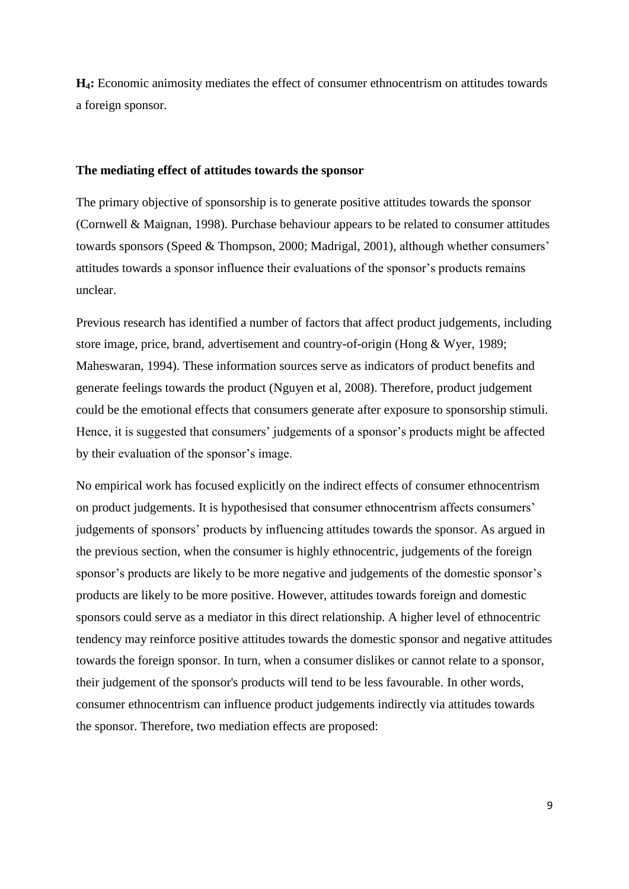**H4:** Economic animosity mediates the effect of consumer ethnocentrism on attitudes towards a foreign sponsor.

#### **The mediating effect of attitudes towards the sponsor**

The primary objective of sponsorship is to generate positive attitudes towards the sponsor (Cornwell & Maignan, 1998). Purchase behaviour appears to be related to consumer attitudes towards sponsors (Speed & Thompson, 2000; Madrigal, 2001), although whether consumers' attitudes towards a sponsor influence their evaluations of the sponsor's products remains unclear.

Previous research has identified a number of factors that affect product judgements, including store image, price, brand, advertisement and country-of-origin (Hong & Wyer, 1989; Maheswaran, 1994). These information sources serve as indicators of product benefits and generate feelings towards the product (Nguyen et al, 2008). Therefore, product judgement could be the emotional effects that consumers generate after exposure to sponsorship stimuli. Hence, it is suggested that consumers' judgements of a sponsor's products might be affected by their evaluation of the sponsor's image.

No empirical work has focused explicitly on the indirect effects of consumer ethnocentrism on product judgements. It is hypothesised that consumer ethnocentrism affects consumers' judgements of sponsors' products by influencing attitudes towards the sponsor. As argued in the previous section, when the consumer is highly ethnocentric, judgements of the foreign sponsor's products are likely to be more negative and judgements of the domestic sponsor's products are likely to be more positive. However, attitudes towards foreign and domestic sponsors could serve as a mediator in this direct relationship. A higher level of ethnocentric tendency may reinforce positive attitudes towards the domestic sponsor and negative attitudes towards the foreign sponsor. In turn, when a consumer dislikes or cannot relate to a sponsor, their judgement of the sponsor's products will tend to be less favourable. In other words, consumer ethnocentrism can influence product judgements indirectly via attitudes towards the sponsor. Therefore, two mediation effects are proposed: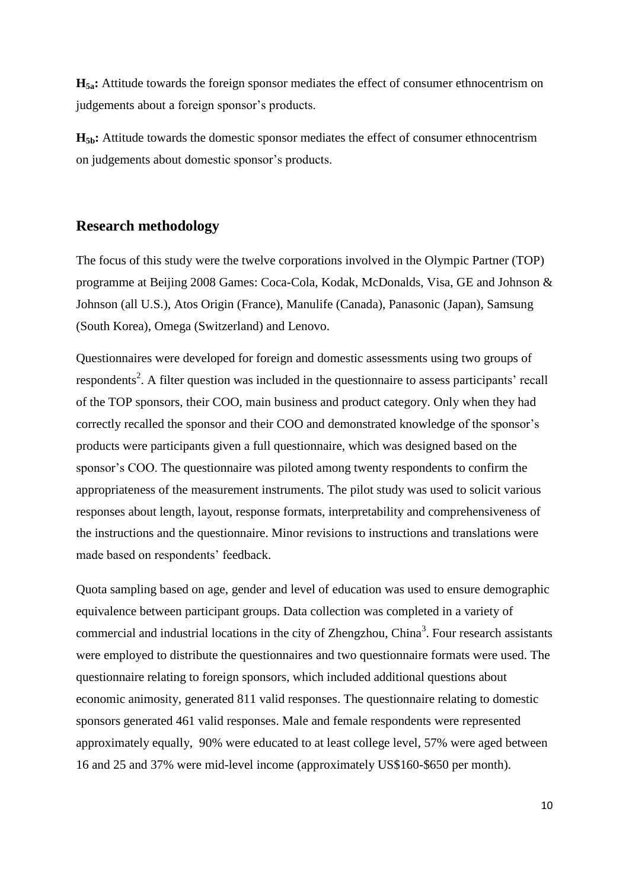**H5a:** Attitude towards the foreign sponsor mediates the effect of consumer ethnocentrism on judgements about a foreign sponsor's products.

**H5b:** Attitude towards the domestic sponsor mediates the effect of consumer ethnocentrism on judgements about domestic sponsor's products.

## **Research methodology**

The focus of this study were the twelve corporations involved in the Olympic Partner (TOP) programme at Beijing 2008 Games: Coca-Cola, Kodak, McDonalds, Visa, GE and Johnson & Johnson (all U.S.), Atos Origin (France), Manulife (Canada), Panasonic (Japan), Samsung (South Korea), Omega (Switzerland) and Lenovo.

Questionnaires were developed for foreign and domestic assessments using two groups of respondents<sup>2</sup>. A filter question was included in the questionnaire to assess participants' recall of the TOP sponsors, their COO, main business and product category. Only when they had correctly recalled the sponsor and their COO and demonstrated knowledge of the sponsor's products were participants given a full questionnaire, which was designed based on the sponsor's COO. The questionnaire was piloted among twenty respondents to confirm the appropriateness of the measurement instruments. The pilot study was used to solicit various responses about length, layout, response formats, interpretability and comprehensiveness of the instructions and the questionnaire. Minor revisions to instructions and translations were made based on respondents' feedback.

Quota sampling based on age, gender and level of education was used to ensure demographic equivalence between participant groups. Data collection was completed in a variety of commercial and industrial locations in the city of Zhengzhou,  $China<sup>3</sup>$ . Four research assistants were employed to distribute the questionnaires and two questionnaire formats were used. The questionnaire relating to foreign sponsors, which included additional questions about economic animosity, generated 811 valid responses. The questionnaire relating to domestic sponsors generated 461 valid responses. Male and female respondents were represented approximately equally, 90% were educated to at least college level, 57% were aged between 16 and 25 and 37% were mid-level income (approximately US\$160-\$650 per month).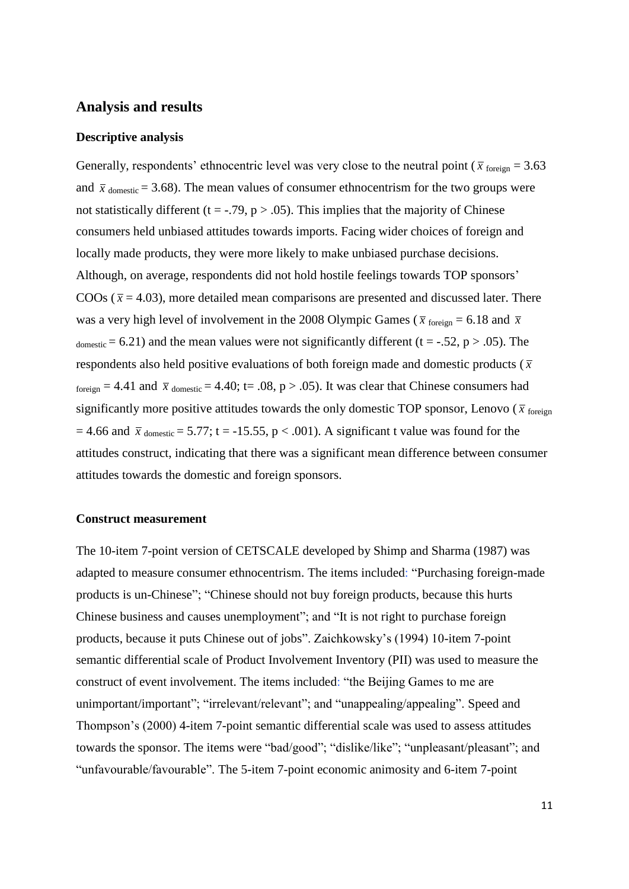#### **Analysis and results**

#### **Descriptive analysis**

Generally, respondents' ethnocentric level was very close to the neutral point ( $\bar{x}$  foreign = 3.63 and  $\bar{x}$  <sub>domestic</sub> = 3.68). The mean values of consumer ethnocentrism for the two groups were not statistically different (t = -.79,  $p > .05$ ). This implies that the majority of Chinese consumers held unbiased attitudes towards imports. Facing wider choices of foreign and locally made products, they were more likely to make unbiased purchase decisions. Although, on average, respondents did not hold hostile feelings towards TOP sponsors' COOs ( $\bar{x}$  = 4.03), more detailed mean comparisons are presented and discussed later. There was a very high level of involvement in the 2008 Olympic Games ( $\bar{x}$  foreign = 6.18 and  $\bar{x}$ )  $_{\text{domestic}} = 6.21$ ) and the mean values were not significantly different (t = -.52, p > .05). The respondents also held positive evaluations of both foreign made and domestic products ( $\bar{x}$ )  $_{\text{foreign}} = 4.41$  and  $\bar{x}_{\text{ domestic}} = 4.40$ ; t= .08, p > .05). It was clear that Chinese consumers had significantly more positive attitudes towards the only domestic TOP sponsor, Lenovo ( $\bar{x}$  foreign  $= 4.66$  and  $\bar{x}$  <sub>domestic</sub>  $= 5.77$ ; t  $= -15.55$ , p < .001). A significant t value was found for the attitudes construct, indicating that there was a significant mean difference between consumer attitudes towards the domestic and foreign sponsors.

#### **Construct measurement**

The 10-item 7-point version of CETSCALE developed by Shimp and Sharma (1987) was adapted to measure consumer ethnocentrism. The items included: "Purchasing foreign-made products is un-Chinese"; "Chinese should not buy foreign products, because this hurts Chinese business and causes unemployment"; and "It is not right to purchase foreign products, because it puts Chinese out of jobs". Zaichkowsky's (1994) 10-item 7-point semantic differential scale of Product Involvement Inventory (PII) was used to measure the construct of event involvement. The items included: "the Beijing Games to me are unimportant/important"; "irrelevant/relevant"; and "unappealing/appealing". Speed and Thompson's (2000) 4-item 7-point semantic differential scale was used to assess attitudes towards the sponsor. The items were "bad/good"; "dislike/like"; "unpleasant/pleasant"; and "unfavourable/favourable". The 5-item 7-point economic animosity and 6-item 7-point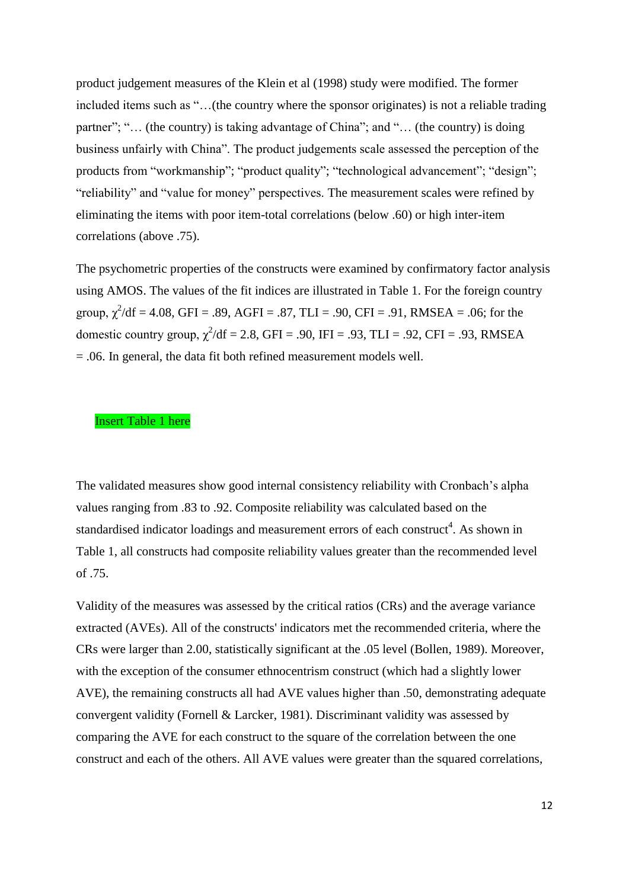product judgement measures of the Klein et al (1998) study were modified. The former included items such as "…(the country where the sponsor originates) is not a reliable trading partner"; "… (the country) is taking advantage of China"; and "… (the country) is doing business unfairly with China". The product judgements scale assessed the perception of the products from "workmanship"; "product quality"; "technological advancement"; "design"; "reliability" and "value for money" perspectives. The measurement scales were refined by eliminating the items with poor item-total correlations (below .60) or high inter-item correlations (above .75).

The psychometric properties of the constructs were examined by confirmatory factor analysis using AMOS. The values of the fit indices are illustrated in Table 1. For the foreign country group,  $\chi^2$ /df = 4.08, GFI = .89, AGFI = .87, TLI = .90, CFI = .91, RMSEA = .06; for the domestic country group,  $\chi^2$ /df = 2.8, GFI = .90, IFI = .93, TLI = .92, CFI = .93, RMSEA  $= .06$ . In general, the data fit both refined measurement models well.

#### Insert Table 1 here

The validated measures show good internal consistency reliability with Cronbach's alpha values ranging from .83 to .92. Composite reliability was calculated based on the standardised indicator loadings and measurement errors of each construct<sup>4</sup>. As shown in Table 1, all constructs had composite reliability values greater than the recommended level of .75.

Validity of the measures was assessed by the critical ratios (CRs) and the average variance extracted (AVEs). All of the constructs' indicators met the recommended criteria, where the CRs were larger than 2.00, statistically significant at the .05 level (Bollen, 1989). Moreover, with the exception of the consumer ethnocentrism construct (which had a slightly lower AVE), the remaining constructs all had AVE values higher than .50, demonstrating adequate convergent validity (Fornell & Larcker, 1981). Discriminant validity was assessed by comparing the AVE for each construct to the square of the correlation between the one construct and each of the others. All AVE values were greater than the squared correlations,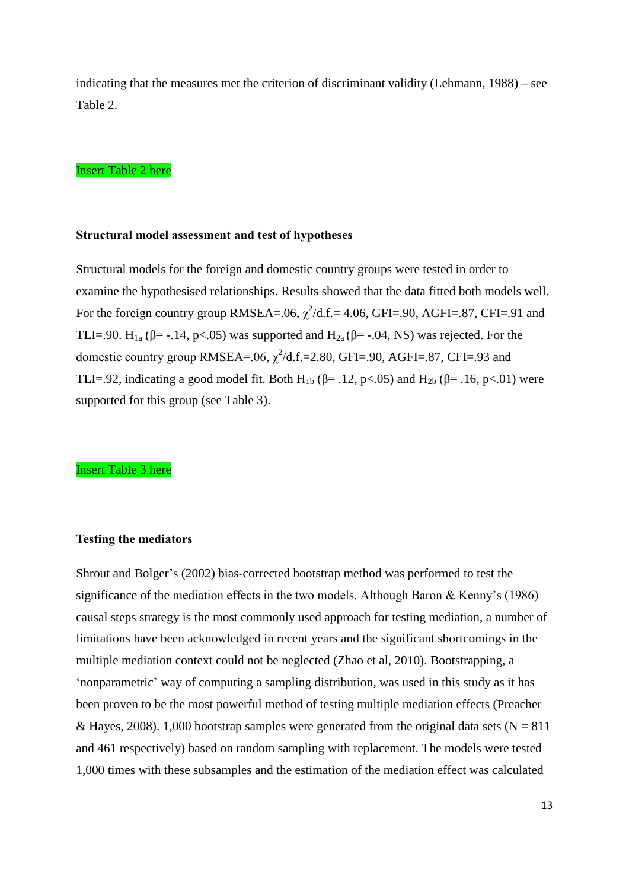indicating that the measures met the criterion of discriminant validity (Lehmann, 1988) – see Table 2.

### Insert Table 2 here

#### **Structural model assessment and test of hypotheses**

Structural models for the foreign and domestic country groups were tested in order to examine the hypothesised relationships. Results showed that the data fitted both models well. For the foreign country group RMSEA=.06,  $\chi^2/d.f. = 4.06$ , GFI=.90, AGFI=.87, CFI=.91 and TLI=.90. H<sub>1a</sub> ( $\beta$ = -.14, p<.05) was supported and H<sub>2a</sub> ( $\beta$ = -.04, NS) was rejected. For the domestic country group RMSEA=.06,  $\chi^2$ /d.f.=2.80, GFI=.90, AGFI=.87, CFI=.93 and TLI=.92, indicating a good model fit. Both H<sub>1b</sub> ( $\beta$ = .12, p<.05) and H<sub>2b</sub> ( $\beta$ = .16, p<.01) were supported for this group (see Table 3).

#### Insert Table 3 here

#### **Testing the mediators**

Shrout and Bolger's (2002) bias-corrected bootstrap method was performed to test the significance of the mediation effects in the two models. Although Baron & Kenny's (1986) causal steps strategy is the most commonly used approach for testing mediation, a number of limitations have been acknowledged in recent years and the significant shortcomings in the multiple mediation context could not be neglected (Zhao et al, 2010). Bootstrapping, a 'nonparametric' way of computing a sampling distribution, was used in this study as it has been proven to be the most powerful method of testing multiple mediation effects (Preacher & Hayes, 2008). 1,000 bootstrap samples were generated from the original data sets ( $N = 811$ ) and 461 respectively) based on random sampling with replacement. The models were tested 1,000 times with these subsamples and the estimation of the mediation effect was calculated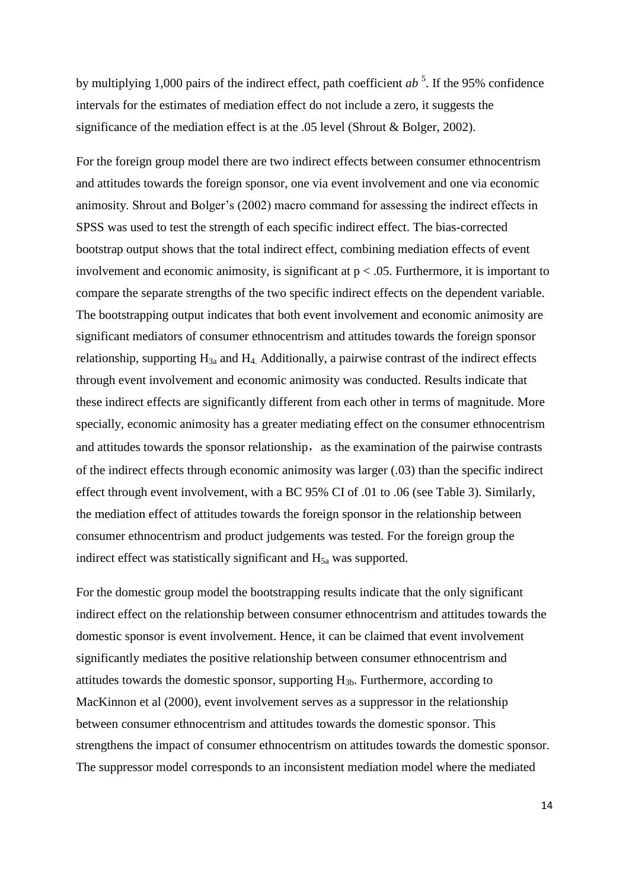by multiplying 1,000 pairs of the indirect effect, path coefficient *ab* <sup>5</sup>. If the 95% confidence intervals for the estimates of mediation effect do not include a zero, it suggests the significance of the mediation effect is at the .05 level (Shrout & Bolger, 2002).

For the foreign group model there are two indirect effects between consumer ethnocentrism and attitudes towards the foreign sponsor, one via event involvement and one via economic animosity. Shrout and Bolger's (2002) macro command for assessing the indirect effects in SPSS was used to test the strength of each specific indirect effect. The bias-corrected bootstrap output shows that the total indirect effect, combining mediation effects of event involvement and economic animosity, is significant at  $p < .05$ . Furthermore, it is important to compare the separate strengths of the two specific indirect effects on the dependent variable. The bootstrapping output indicates that both event involvement and economic animosity are significant mediators of consumer ethnocentrism and attitudes towards the foreign sponsor relationship, supporting  $H_{3a}$  and  $H_4$ . Additionally, a pairwise contrast of the indirect effects through event involvement and economic animosity was conducted. Results indicate that these indirect effects are significantly different from each other in terms of magnitude. More specially, economic animosity has a greater mediating effect on the consumer ethnocentrism and attitudes towards the sponsor relationship, as the examination of the pairwise contrasts of the indirect effects through economic animosity was larger (.03) than the specific indirect effect through event involvement, with a BC 95% CI of .01 to .06 (see Table 3). Similarly, the mediation effect of attitudes towards the foreign sponsor in the relationship between consumer ethnocentrism and product judgements was tested. For the foreign group the indirect effect was statistically significant and  $H_{5a}$  was supported.

For the domestic group model the bootstrapping results indicate that the only significant indirect effect on the relationship between consumer ethnocentrism and attitudes towards the domestic sponsor is event involvement. Hence, it can be claimed that event involvement significantly mediates the positive relationship between consumer ethnocentrism and attitudes towards the domestic sponsor, supporting  $H_{3b}$ . Furthermore, according to MacKinnon et al (2000), event involvement serves as a suppressor in the relationship between consumer ethnocentrism and attitudes towards the domestic sponsor. This strengthens the impact of consumer ethnocentrism on attitudes towards the domestic sponsor. The suppressor model corresponds to an inconsistent mediation model where the mediated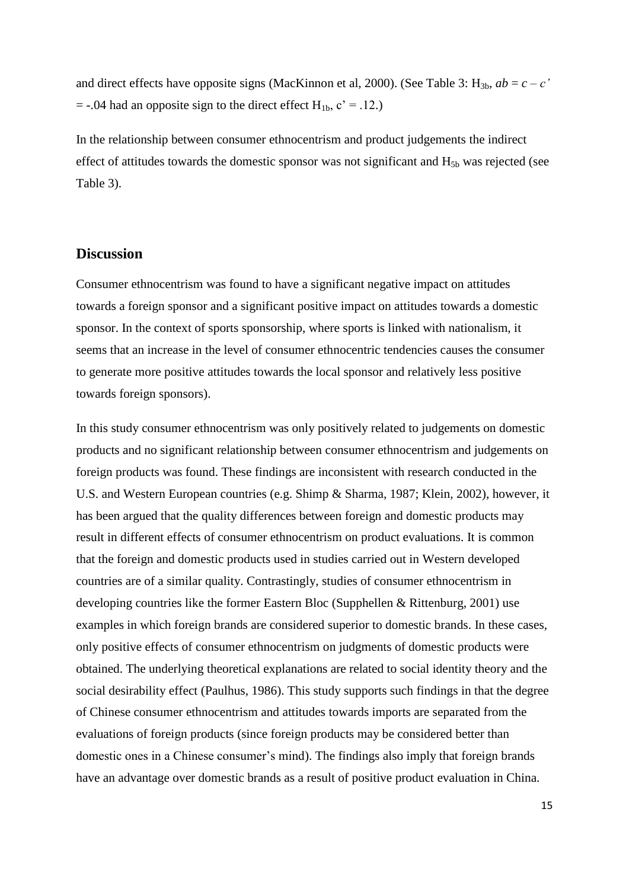and direct effects have opposite signs (MacKinnon et al, 2000). (See Table 3:  $H_{3b}$ ,  $ab = c - c'$  $=$  -.04 had an opposite sign to the direct effect H<sub>1b</sub>,  $c' = .12$ .)

In the relationship between consumer ethnocentrism and product judgements the indirect effect of attitudes towards the domestic sponsor was not significant and  $H_{5b}$  was rejected (see Table 3).

## **Discussion**

Consumer ethnocentrism was found to have a significant negative impact on attitudes towards a foreign sponsor and a significant positive impact on attitudes towards a domestic sponsor. In the context of sports sponsorship, where sports is linked with nationalism, it seems that an increase in the level of consumer ethnocentric tendencies causes the consumer to generate more positive attitudes towards the local sponsor and relatively less positive towards foreign sponsors).

In this study consumer ethnocentrism was only positively related to judgements on domestic products and no significant relationship between consumer ethnocentrism and judgements on foreign products was found. These findings are inconsistent with research conducted in the U.S. and Western European countries (e.g. Shimp & Sharma, 1987; Klein, 2002), however, it has been argued that the quality differences between foreign and domestic products may result in different effects of consumer ethnocentrism on product evaluations. It is common that the foreign and domestic products used in studies carried out in Western developed countries are of a similar quality. Contrastingly, studies of consumer ethnocentrism in developing countries like the former Eastern Bloc (Supphellen & Rittenburg, 2001) use examples in which foreign brands are considered superior to domestic brands. In these cases, only positive effects of consumer ethnocentrism on judgments of domestic products were obtained. The underlying theoretical explanations are related to social identity theory and the social desirability effect (Paulhus, 1986). This study supports such findings in that the degree of Chinese consumer ethnocentrism and attitudes towards imports are separated from the evaluations of foreign products (since foreign products may be considered better than domestic ones in a Chinese consumer's mind). The findings also imply that foreign brands have an advantage over domestic brands as a result of positive product evaluation in China.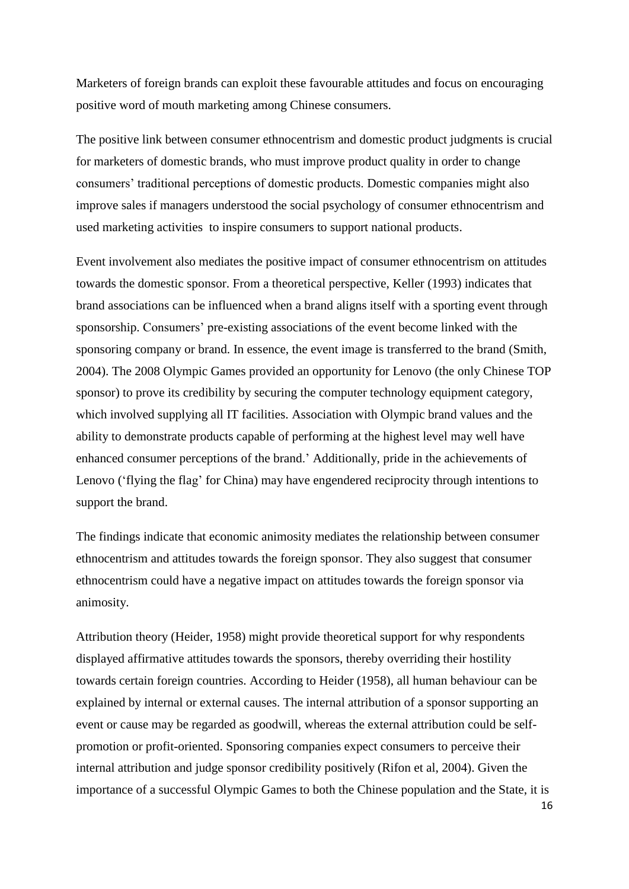Marketers of foreign brands can exploit these favourable attitudes and focus on encouraging positive word of mouth marketing among Chinese consumers.

The positive link between consumer ethnocentrism and domestic product judgments is crucial for marketers of domestic brands, who must improve product quality in order to change consumers' traditional perceptions of domestic products. Domestic companies might also improve sales if managers understood the social psychology of consumer ethnocentrism and used marketing activities to inspire consumers to support national products.

Event involvement also mediates the positive impact of consumer ethnocentrism on attitudes towards the domestic sponsor. From a theoretical perspective, Keller (1993) indicates that brand associations can be influenced when a brand aligns itself with a sporting event through sponsorship. Consumers' pre-existing associations of the event become linked with the sponsoring company or brand. In essence, the event image is transferred to the brand (Smith, 2004). The 2008 Olympic Games provided an opportunity for Lenovo (the only Chinese TOP sponsor) to prove its credibility by securing the computer technology equipment category, which involved supplying all IT facilities. Association with Olympic brand values and the ability to demonstrate products capable of performing at the highest level may well have enhanced consumer perceptions of the brand.' Additionally, pride in the achievements of Lenovo ('flying the flag' for China) may have engendered reciprocity through intentions to support the brand.

The findings indicate that economic animosity mediates the relationship between consumer ethnocentrism and attitudes towards the foreign sponsor. They also suggest that consumer ethnocentrism could have a negative impact on attitudes towards the foreign sponsor via animosity.

Attribution theory (Heider, 1958) might provide theoretical support for why respondents displayed affirmative attitudes towards the sponsors, thereby overriding their hostility towards certain foreign countries. According to Heider (1958), all human behaviour can be explained by internal or external causes. The internal attribution of a sponsor supporting an event or cause may be regarded as goodwill, whereas the external attribution could be selfpromotion or profit-oriented. Sponsoring companies expect consumers to perceive their internal attribution and judge sponsor credibility positively (Rifon et al, 2004). Given the importance of a successful Olympic Games to both the Chinese population and the State, it is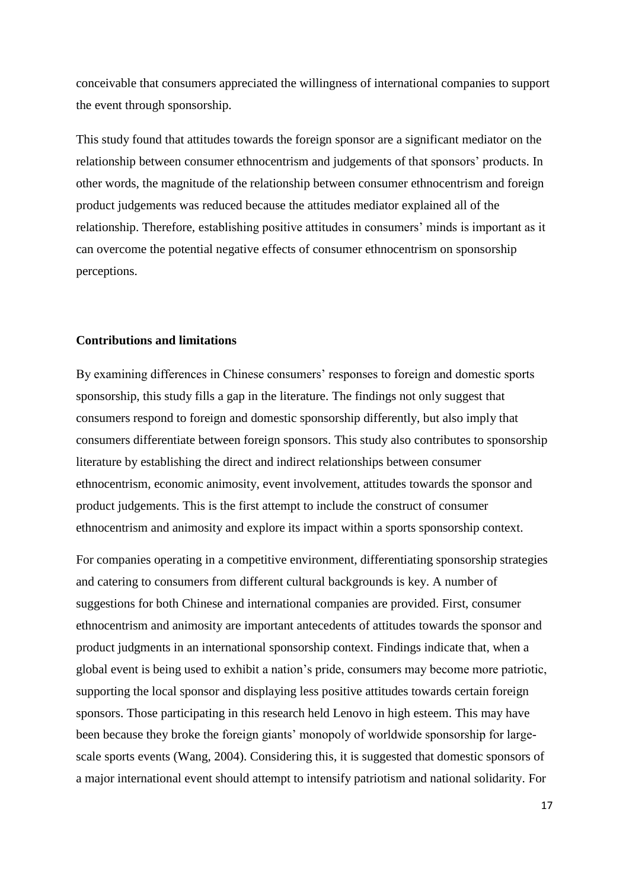conceivable that consumers appreciated the willingness of international companies to support the event through sponsorship.

This study found that attitudes towards the foreign sponsor are a significant mediator on the relationship between consumer ethnocentrism and judgements of that sponsors' products. In other words, the magnitude of the relationship between consumer ethnocentrism and foreign product judgements was reduced because the attitudes mediator explained all of the relationship. Therefore, establishing positive attitudes in consumers' minds is important as it can overcome the potential negative effects of consumer ethnocentrism on sponsorship perceptions.

#### **Contributions and limitations**

By examining differences in Chinese consumers' responses to foreign and domestic sports sponsorship, this study fills a gap in the literature. The findings not only suggest that consumers respond to foreign and domestic sponsorship differently, but also imply that consumers differentiate between foreign sponsors. This study also contributes to sponsorship literature by establishing the direct and indirect relationships between consumer ethnocentrism, economic animosity, event involvement, attitudes towards the sponsor and product judgements. This is the first attempt to include the construct of consumer ethnocentrism and animosity and explore its impact within a sports sponsorship context.

For companies operating in a competitive environment, differentiating sponsorship strategies and catering to consumers from different cultural backgrounds is key. A number of suggestions for both Chinese and international companies are provided. First, consumer ethnocentrism and animosity are important antecedents of attitudes towards the sponsor and product judgments in an international sponsorship context. Findings indicate that, when a global event is being used to exhibit a nation's pride, consumers may become more patriotic, supporting the local sponsor and displaying less positive attitudes towards certain foreign sponsors. Those participating in this research held Lenovo in high esteem. This may have been because they broke the foreign giants' monopoly of worldwide sponsorship for largescale sports events (Wang, 2004). Considering this, it is suggested that domestic sponsors of a major international event should attempt to intensify patriotism and national solidarity. For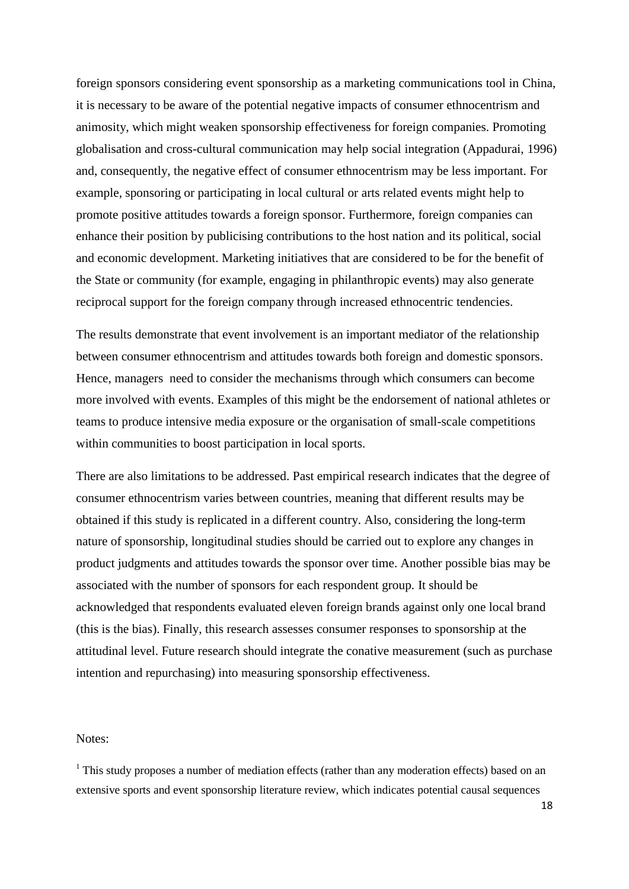foreign sponsors considering event sponsorship as a marketing communications tool in China, it is necessary to be aware of the potential negative impacts of consumer ethnocentrism and animosity, which might weaken sponsorship effectiveness for foreign companies. Promoting globalisation and cross-cultural communication may help social integration (Appadurai, 1996) and, consequently, the negative effect of consumer ethnocentrism may be less important. For example, sponsoring or participating in local cultural or arts related events might help to promote positive attitudes towards a foreign sponsor. Furthermore, foreign companies can enhance their position by publicising contributions to the host nation and its political, social and economic development. Marketing initiatives that are considered to be for the benefit of the State or community (for example, engaging in philanthropic events) may also generate reciprocal support for the foreign company through increased ethnocentric tendencies.

The results demonstrate that event involvement is an important mediator of the relationship between consumer ethnocentrism and attitudes towards both foreign and domestic sponsors. Hence, managers need to consider the mechanisms through which consumers can become more involved with events. Examples of this might be the endorsement of national athletes or teams to produce intensive media exposure or the organisation of small-scale competitions within communities to boost participation in local sports.

There are also limitations to be addressed. Past empirical research indicates that the degree of consumer ethnocentrism varies between countries, meaning that different results may be obtained if this study is replicated in a different country. Also, considering the long-term nature of sponsorship, longitudinal studies should be carried out to explore any changes in product judgments and attitudes towards the sponsor over time. Another possible bias may be associated with the number of sponsors for each respondent group. It should be acknowledged that respondents evaluated eleven foreign brands against only one local brand (this is the bias). Finally, this research assesses consumer responses to sponsorship at the attitudinal level. Future research should integrate the conative measurement (such as purchase intention and repurchasing) into measuring sponsorship effectiveness.

#### Notes:

 $1$  This study proposes a number of mediation effects (rather than any moderation effects) based on an extensive sports and event sponsorship literature review, which indicates potential causal sequences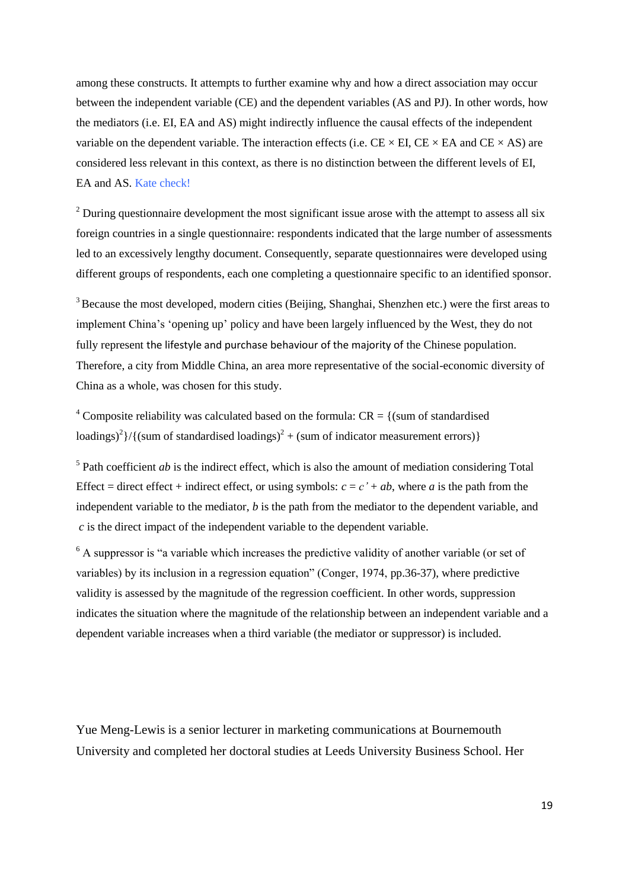among these constructs. It attempts to further examine why and how a direct association may occur between the independent variable (CE) and the dependent variables (AS and PJ). In other words, how the mediators (i.e. EI, EA and AS) might indirectly influence the causal effects of the independent variable on the dependent variable. The interaction effects (i.e.  $CE \times EI$ ,  $CE \times EA$  and  $CE \times AS$ ) are considered less relevant in this context, as there is no distinction between the different levels of EI, EA and AS. Kate check!

 $2$  During questionnaire development the most significant issue arose with the attempt to assess all six foreign countries in a single questionnaire: respondents indicated that the large number of assessments led to an excessively lengthy document. Consequently, separate questionnaires were developed using different groups of respondents, each one completing a questionnaire specific to an identified sponsor.

<sup>3</sup> Because the most developed, modern cities (Beijing, Shanghai, Shenzhen etc.) were the first areas to implement China's 'opening up' policy and have been largely influenced by the West, they do not fully represent the lifestyle and purchase behaviour of the majority of the Chinese population. Therefore, a city from Middle China, an area more representative of the social-economic diversity of China as a whole, was chosen for this study.

<sup>4</sup> Composite reliability was calculated based on the formula:  $CR = \{(sum of standardised$ loadings)<sup>2</sup>}/{(sum of standardised loadings)<sup>2</sup> + (sum of indicator measurement errors)}

 $<sup>5</sup>$  Path coefficient *ab* is the indirect effect, which is also the amount of mediation considering Total</sup> Effect = direct effect + indirect effect, or using symbols:  $c = c' + ab$ , where *a* is the path from the independent variable to the mediator, *b* is the path from the mediator to the dependent variable, and *c* is the direct impact of the independent variable to the dependent variable.

<sup>6</sup> A suppressor is "a variable which increases the predictive validity of another variable (or set of variables) by its inclusion in a regression equation" (Conger, 1974, pp.36-37), where predictive validity is assessed by the magnitude of the regression coefficient. In other words, suppression indicates the situation where the magnitude of the relationship between an independent variable and a dependent variable increases when a third variable (the mediator or suppressor) is included.

Yue Meng-Lewis is a senior lecturer in marketing communications at Bournemouth University and completed her doctoral studies at Leeds University Business School. Her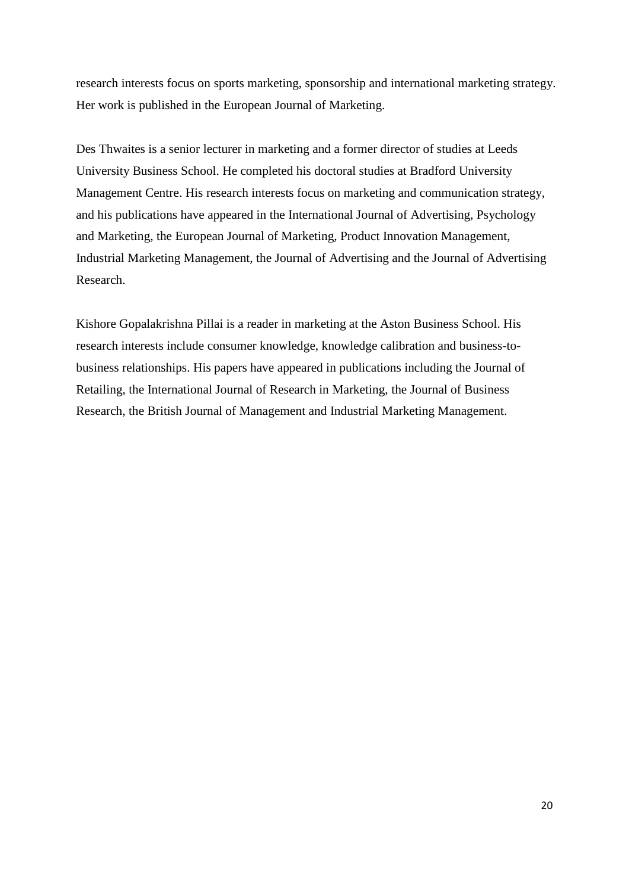research interests focus on sports marketing, sponsorship and international marketing strategy. Her work is published in the European Journal of Marketing.

Des Thwaites is a senior lecturer in marketing and a former director of studies at Leeds University Business School. He completed his doctoral studies at Bradford University Management Centre. His research interests focus on marketing and communication strategy, and his publications have appeared in the International Journal of Advertising, Psychology and Marketing, the European Journal of Marketing, Product Innovation Management, Industrial Marketing Management, the Journal of Advertising and the Journal of Advertising Research.

Kishore Gopalakrishna Pillai is a reader in marketing at the Aston Business School. His research interests include consumer knowledge, knowledge calibration and business-tobusiness relationships. His papers have appeared in publications including the Journal of Retailing, the International Journal of Research in Marketing, the Journal of Business Research, the British Journal of Management and Industrial Marketing Management.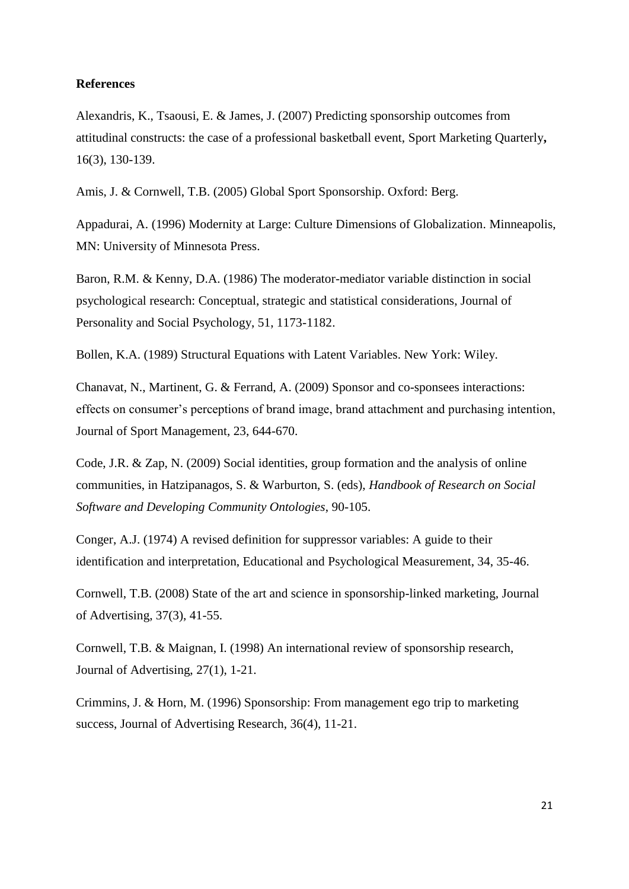#### **References**

Alexandris, K., Tsaousi, E. & James, J. (2007) Predicting sponsorship outcomes from attitudinal constructs: the case of a professional basketball event, Sport Marketing Quarterly**,**  16(3), 130-139.

Amis, J. & Cornwell, T.B. (2005) Global Sport Sponsorship. Oxford: Berg.

Appadurai, A. (1996) Modernity at Large: Culture Dimensions of Globalization. Minneapolis, MN: University of Minnesota Press.

Baron, R.M. & Kenny, D.A. (1986) The moderator-mediator variable distinction in social psychological research: Conceptual, strategic and statistical considerations, Journal of Personality and Social Psychology, 51, 1173-1182.

Bollen, K.A. (1989) Structural Equations with Latent Variables. New York: Wiley.

Chanavat, N., Martinent, G. & Ferrand, A. (2009) Sponsor and co-sponsees interactions: effects on consumer's perceptions of brand image, brand attachment and purchasing intention, Journal of Sport Management, 23, 644-670.

Code, J.R. & Zap, N. (2009) Social identities, group formation and the analysis of online communities, in Hatzipanagos, S. & Warburton, S. (eds), *Handbook of Research on Social Software and Developing Community Ontologies*, 90-105.

Conger, A.J. (1974) A revised definition for suppressor variables: A guide to their identification and interpretation, Educational and Psychological Measurement, 34, 35-46.

Cornwell, T.B. (2008) State of the art and science in sponsorship-linked marketing, Journal of Advertising, 37(3), 41-55.

Cornwell, T.B. & Maignan, I. (1998) An international review of sponsorship research, Journal of Advertising, 27(1), 1-21.

Crimmins, J. & Horn, M. (1996) Sponsorship: From management ego trip to marketing success, Journal of Advertising Research, 36(4), 11-21.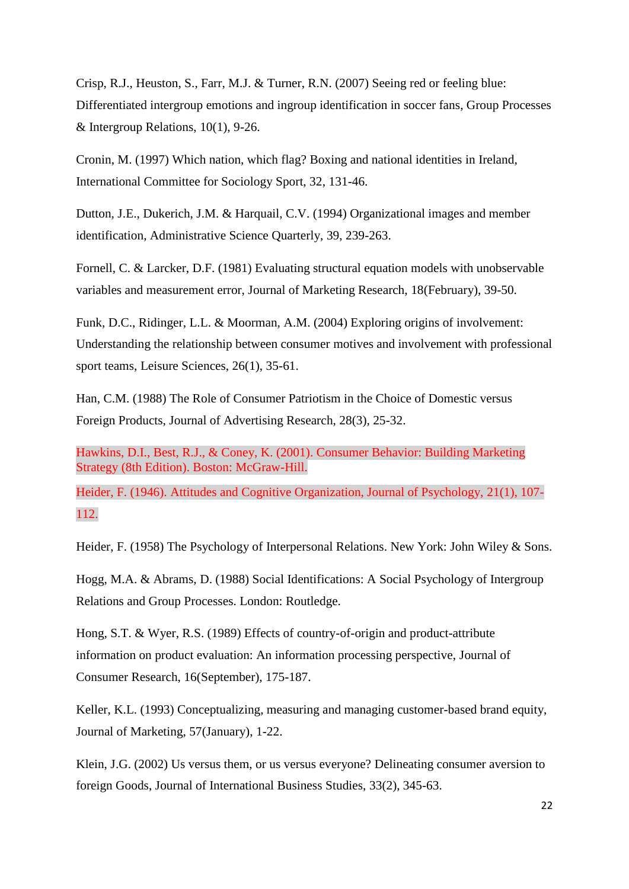Crisp, R.J., Heuston, S., Farr, M.J. & Turner, R.N. (2007) Seeing red or feeling blue: Differentiated intergroup emotions and ingroup identification in soccer fans, Group Processes & Intergroup Relations, 10(1), 9-26.

Cronin, M. (1997) Which nation, which flag? Boxing and national identities in Ireland, International Committee for Sociology Sport, 32, 131-46.

Dutton, J.E., Dukerich, J.M. & Harquail, C.V. (1994) Organizational images and member identification, Administrative Science Quarterly, 39, 239-263.

Fornell, C. & Larcker, D.F. (1981) Evaluating structural equation models with unobservable variables and measurement error, Journal of Marketing Research, 18(February), 39-50.

Funk, D.C., Ridinger, L.L. & Moorman, A.M. (2004) Exploring origins of involvement: Understanding the relationship between consumer motives and involvement with professional sport teams, Leisure Sciences, 26(1), 35-61.

Han, C.M. (1988) The Role of Consumer Patriotism in the Choice of Domestic versus Foreign Products, Journal of Advertising Research, 28(3), 25-32.

Hawkins, D.I., Best, R.J., & Coney, K. (2001). Consumer Behavior: Building Marketing Strategy (8th Edition). Boston: McGraw-Hill.

Heider, F. (1946). Attitudes and Cognitive Organization, Journal of Psychology, 21(1), 107- 112.

Heider, F. (1958) The Psychology of Interpersonal Relations. New York: John Wiley & Sons.

Hogg, M.A. & Abrams, D. (1988) Social Identifications: A Social Psychology of Intergroup Relations and Group Processes. London: Routledge.

Hong, S.T. & Wyer, R.S. (1989) Effects of country-of-origin and product-attribute information on product evaluation: An information processing perspective, Journal of Consumer Research, 16(September), 175-187.

Keller, K.L. (1993) Conceptualizing, measuring and managing customer-based brand equity, Journal of Marketing, 57(January), 1-22.

Klein, J.G. (2002) Us versus them, or us versus everyone? Delineating consumer aversion to foreign Goods, Journal of International Business Studies, 33(2), 345-63.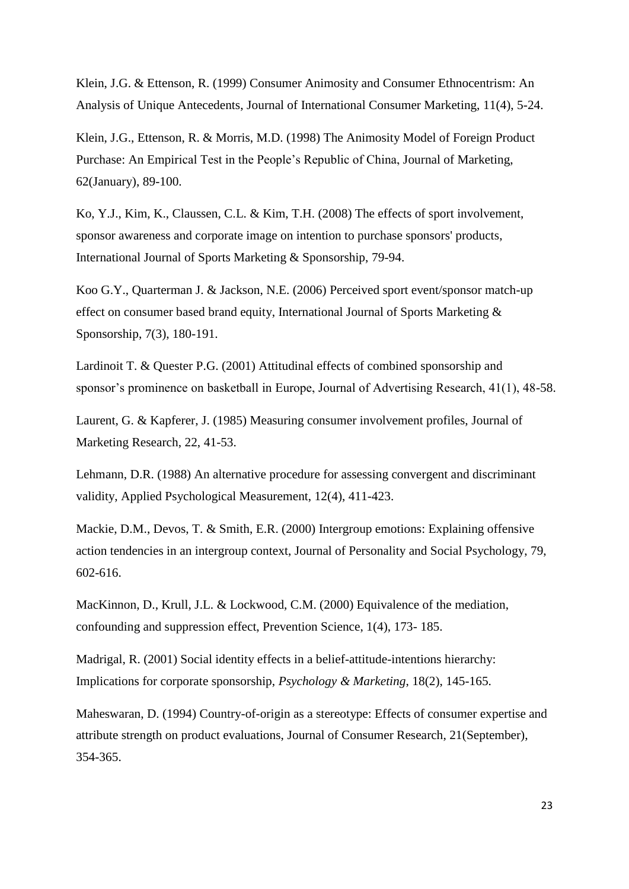Klein, J.G. & Ettenson, R. (1999) Consumer Animosity and Consumer Ethnocentrism: An Analysis of Unique Antecedents, Journal of International Consumer Marketing, 11(4), 5-24.

Klein, J.G., Ettenson, R. & Morris, M.D. (1998) The Animosity Model of Foreign Product Purchase: An Empirical Test in the People's Republic of China, Journal of Marketing, 62(January), 89-100.

Ko, Y.J., Kim, K., Claussen, C.L. & Kim, T.H. (2008) The effects of sport involvement, sponsor awareness and corporate image on intention to purchase sponsors' products, International Journal of Sports Marketing & Sponsorship, 79-94.

Koo G.Y., Quarterman J. & Jackson, N.E. (2006) Perceived sport event/sponsor match-up effect on consumer based brand equity, International Journal of Sports Marketing & Sponsorship, 7(3), 180-191.

Lardinoit T. & Quester P.G. (2001) Attitudinal effects of combined sponsorship and sponsor's prominence on basketball in Europe, Journal of Advertising Research, 41(1), 48-58.

Laurent, G. & Kapferer, J. (1985) Measuring consumer involvement profiles, Journal of Marketing Research, 22, 41-53.

Lehmann, D.R. (1988) An alternative procedure for assessing convergent and discriminant validity, Applied Psychological Measurement, 12(4), 411-423.

Mackie, D.M., Devos, T. & Smith, E.R. (2000) Intergroup emotions: Explaining offensive action tendencies in an intergroup context, Journal of Personality and Social Psychology, 79, 602-616.

MacKinnon, D., Krull, J.L. & Lockwood, C.M. (2000) Equivalence of the mediation, confounding and suppression effect, Prevention Science, 1(4), 173- 185.

Madrigal, R. (2001) Social identity effects in a belief-attitude-intentions hierarchy: Implications for corporate sponsorship, *Psychology & Marketing*, 18(2), 145-165.

Maheswaran, D. (1994) Country-of-origin as a stereotype: Effects of consumer expertise and attribute strength on product evaluations, Journal of Consumer Research, 21(September), 354-365.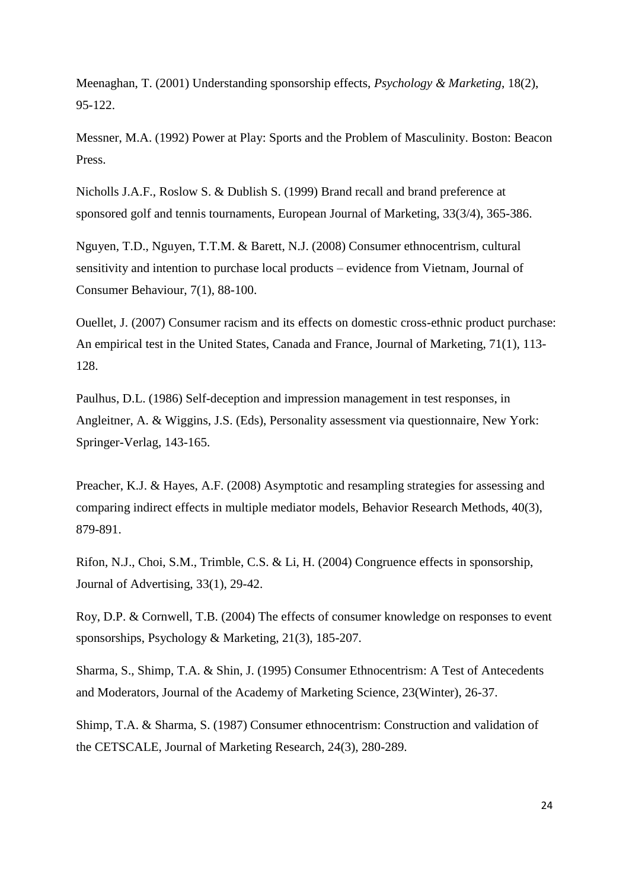Meenaghan, T. (2001) Understanding sponsorship effects, *Psychology & Marketing*, 18(2), 95-122.

Messner, M.A. (1992) Power at Play: Sports and the Problem of Masculinity. Boston: Beacon Press.

Nicholls J.A.F., Roslow S. & Dublish S. (1999) Brand recall and brand preference at sponsored golf and tennis tournaments, European Journal of Marketing, 33(3/4), 365-386.

Nguyen, T.D., Nguyen, T.T.M. & Barett, N.J. (2008) Consumer ethnocentrism, cultural sensitivity and intention to purchase local products – evidence from Vietnam, Journal of Consumer Behaviour, 7(1), 88-100.

Ouellet, J. (2007) Consumer racism and its effects on domestic cross-ethnic product purchase: An empirical test in the United States, Canada and France, Journal of Marketing, 71(1), 113- 128.

Paulhus, D.L. (1986) Self-deception and impression management in test responses, in Angleitner, A. & Wiggins, J.S. (Eds), Personality assessment via questionnaire, New York: Springer-Verlag, 143-165.

Preacher, K.J. & Hayes, A.F. (2008) Asymptotic and resampling strategies for assessing and comparing indirect effects in multiple mediator models, Behavior Research Methods, 40(3), 879-891.

Rifon, N.J., Choi, S.M., Trimble, C.S. & Li, H. (2004) Congruence effects in sponsorship, Journal of Advertising, 33(1), 29-42.

Roy, D.P. & Cornwell, T.B. (2004) The effects of consumer knowledge on responses to event sponsorships, Psychology & Marketing, 21(3), 185-207.

Sharma, S., Shimp, T.A. & Shin, J. (1995) Consumer Ethnocentrism: A Test of Antecedents and Moderators, Journal of the Academy of Marketing Science, 23(Winter), 26-37.

Shimp, T.A. & Sharma, S. (1987) Consumer ethnocentrism: Construction and validation of the CETSCALE, Journal of Marketing Research, 24(3), 280-289.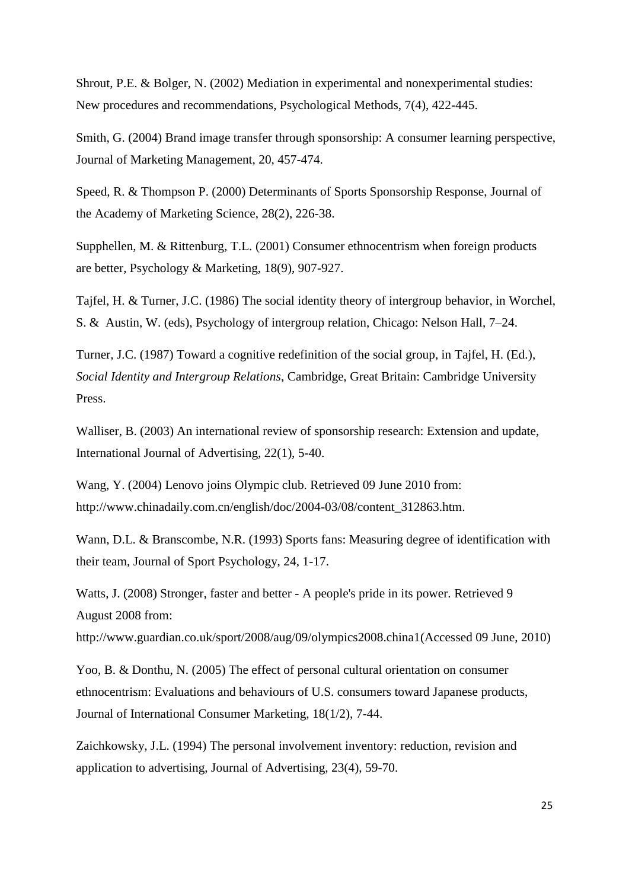Shrout, P.E. & Bolger, N. (2002) Mediation in experimental and nonexperimental studies: New procedures and recommendations, Psychological Methods, 7(4), 422-445.

Smith, G. (2004) Brand image transfer through sponsorship: A consumer learning perspective, Journal of Marketing Management, 20, 457-474.

Speed, R. & Thompson P. (2000) Determinants of Sports Sponsorship Response, Journal of the Academy of Marketing Science, 28(2), 226-38.

Supphellen, M. & Rittenburg, T.L. (2001) Consumer ethnocentrism when foreign products are better, Psychology & Marketing, 18(9), 907-927.

Tajfel, H. & Turner, J.C. (1986) The social identity theory of intergroup behavior, in Worchel, S. & Austin, W. (eds), Psychology of intergroup relation, Chicago: Nelson Hall, 7–24.

Turner, J.C. (1987) Toward a cognitive redefinition of the social group, in Tajfel, H. (Ed.), *Social Identity and Intergroup Relations*, Cambridge, Great Britain: Cambridge University Press.

Walliser, B. (2003) An international review of sponsorship research: Extension and update, International Journal of Advertising, 22(1), 5-40.

Wang, Y. (2004) Lenovo joins Olympic club. Retrieved 09 June 2010 from: http://www.chinadaily.com.cn/english/doc/2004-03/08/content\_312863.htm.

Wann, D.L. & Branscombe, N.R. (1993) Sports fans: Measuring degree of identification with their team, Journal of Sport Psychology, 24, 1-17.

Watts, J. (2008) Stronger, faster and better - A people's pride in its power. Retrieved 9 August 2008 from:

http://www.guardian.co.uk/sport/2008/aug/09/olympics2008.china1(Accessed 09 June, 2010)

Yoo, B. & Donthu, N. (2005) The effect of personal cultural orientation on consumer ethnocentrism: Evaluations and behaviours of U.S. consumers toward Japanese products, Journal of International Consumer Marketing, 18(1/2), 7-44.

Zaichkowsky, J.L. (1994) The personal involvement inventory: reduction, revision and application to advertising, Journal of Advertising, 23(4), 59-70.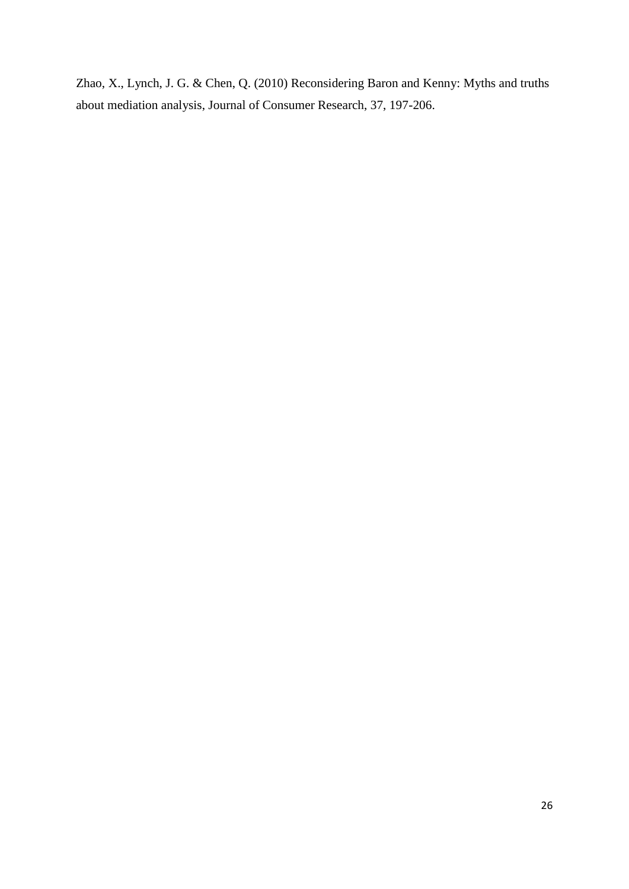Zhao, X., Lynch, J. G. & Chen, Q. (2010) Reconsidering Baron and Kenny: Myths and truths about mediation analysis, Journal of Consumer Research, 37, 197-206.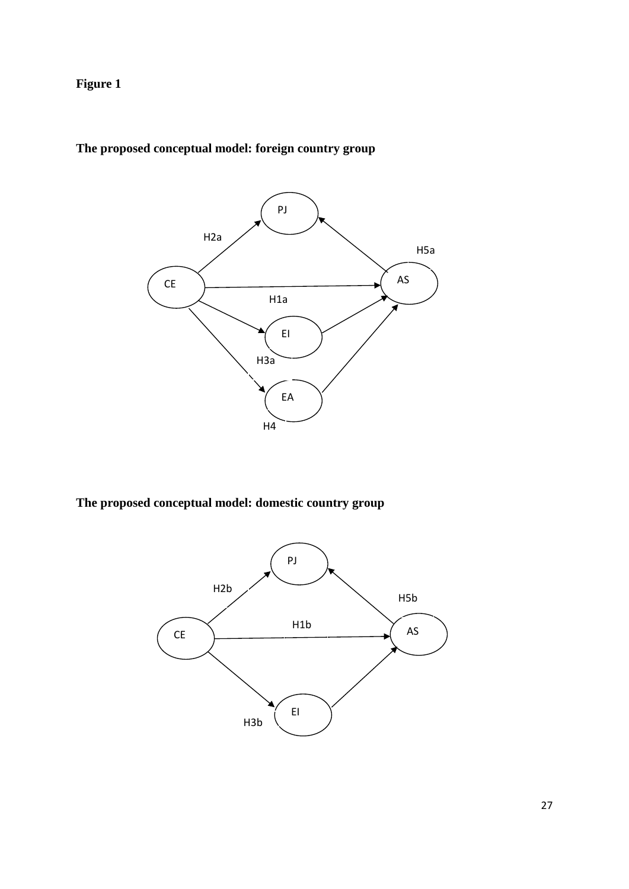## **Figure 1**



H4

H3a

EA

## **The proposed conceptual model: foreign country group**

**The proposed conceptual model: domestic country group**

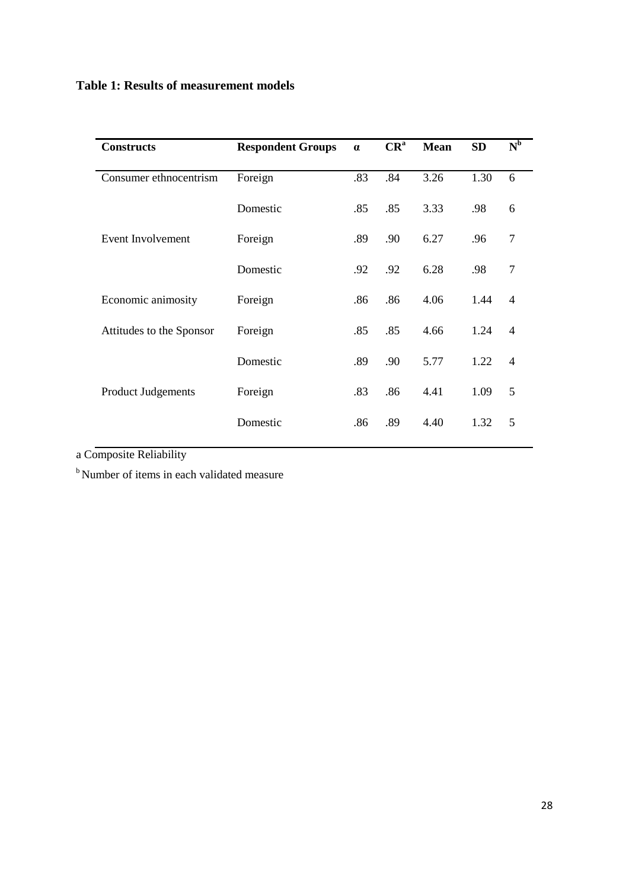## **Table 1: Results of measurement models**

| <b>Constructs</b>         | <b>Respondent Groups</b> | $\alpha$ | CR <sup>a</sup> | <b>Mean</b> | <b>SD</b> | N <sub>b</sub> |
|---------------------------|--------------------------|----------|-----------------|-------------|-----------|----------------|
| Consumer ethnocentrism    | Foreign                  | .83      | .84             | 3.26        | 1.30      | 6              |
|                           | Domestic                 | .85      | .85             | 3.33        | .98       | 6              |
| Event Involvement         | Foreign                  | .89      | .90             | 6.27        | .96       | $\overline{7}$ |
|                           | Domestic                 | .92      | .92             | 6.28        | .98       | $\tau$         |
| Economic animosity        | Foreign                  | .86      | .86             | 4.06        | 1.44      | $\overline{4}$ |
| Attitudes to the Sponsor  | Foreign                  | .85      | .85             | 4.66        | 1.24      | $\overline{4}$ |
|                           | Domestic                 | .89      | .90             | 5.77        | 1.22      | $\overline{4}$ |
| <b>Product Judgements</b> | Foreign                  | .83      | .86             | 4.41        | 1.09      | 5              |
|                           | Domestic                 | .86      | .89             | 4.40        | 1.32      | 5              |

a Composite Reliability

 $<sup>b</sup>$  Number of items in each validated measure</sup>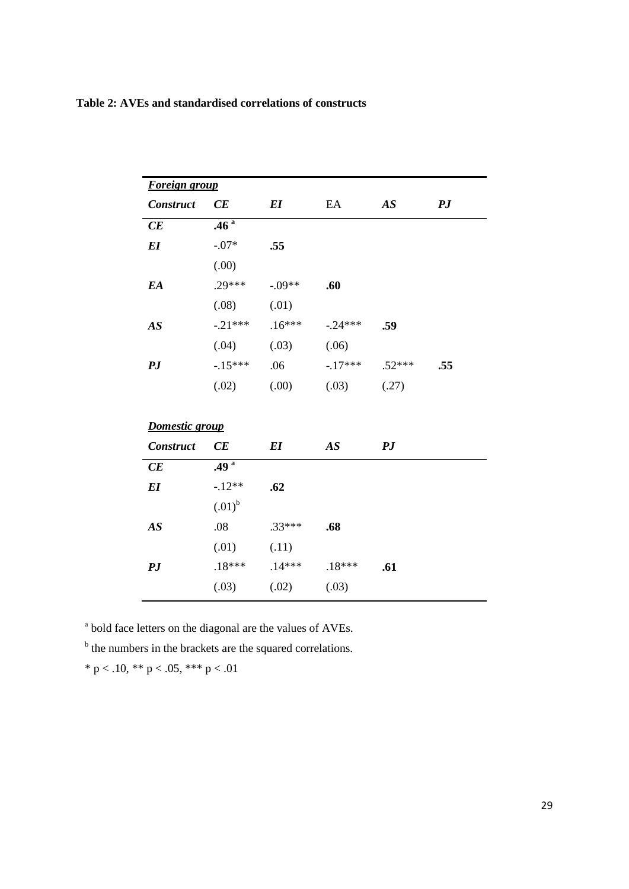### **Table 2: AVEs and standardised correlations of constructs**

| <b>Foreign group</b>            |                  |          |                 |                                 |                                 |  |
|---------------------------------|------------------|----------|-----------------|---------------------------------|---------------------------------|--|
| <b>Construct</b>                | CE               | E I      | $\rm EA$        | AS                              | $\boldsymbol{P} \boldsymbol{J}$ |  |
| CE                              | .46 <sup>a</sup> |          |                 |                                 |                                 |  |
| E I                             | $-.07*$          | .55      |                 |                                 |                                 |  |
|                                 | (0.00)           |          |                 |                                 |                                 |  |
| EA                              | $.29***$         | $-.09**$ | .60             |                                 |                                 |  |
|                                 | (.08)            | (.01)    |                 |                                 |                                 |  |
| AS                              | $-.21***$        | $.16***$ | $-0.24***$      | .59                             |                                 |  |
|                                 | (.04)            | (.03)    | (.06)           |                                 |                                 |  |
| $\overline{P}J$                 | $-15***$         | .06      | $-17***$        | $.52***$                        | .55                             |  |
|                                 | (.02)            | (0.00)   | (.03)           | (.27)                           |                                 |  |
|                                 |                  |          |                 |                                 |                                 |  |
| Domestic group                  |                  |          |                 |                                 |                                 |  |
| <b>Construct</b>                | CE               | E I      | $\overline{AS}$ | $\boldsymbol{P} \boldsymbol{J}$ |                                 |  |
| CE                              | .49 <sup>a</sup> |          |                 |                                 |                                 |  |
| E I                             | $-12**$          | .62      |                 |                                 |                                 |  |
|                                 | $(.01)^{b}$      |          |                 |                                 |                                 |  |
| AS                              | .08              | $.33***$ | .68             |                                 |                                 |  |
|                                 | (.01)            | (.11)    |                 |                                 |                                 |  |
| $\boldsymbol{P} \boldsymbol{J}$ | $.18***$         | $.14***$ | $.18***$        | .61                             |                                 |  |
|                                 | (.03)            | (.02)    | (.03)           |                                 |                                 |  |

<sup>a</sup> bold face letters on the diagonal are the values of AVEs.

<sup>b</sup> the numbers in the brackets are the squared correlations.

\* p < .10, \*\* p < .05, \*\*\* p < .01